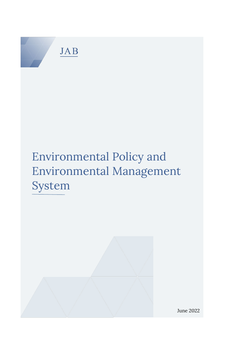

# Environmental Policy and Environmental Management System



June 2022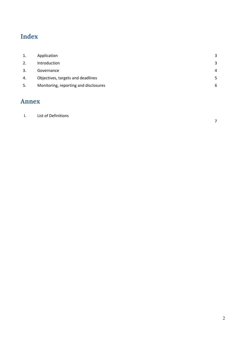## **Index**

| Application                           | 3 |
|---------------------------------------|---|
| Introduction                          | 3 |
| Governance                            | 4 |
| Objectives, targets and deadlines     | 5 |
| Monitoring, reporting and disclosures | 6 |
|                                       |   |

## **Annex**

### I. [List of Definitions](#page-6-0)

[7](#page-6-0)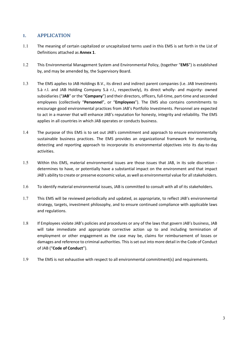#### **1. APPLICATION**

- 1.1 The meaning of certain capitalized or uncapitalized terms used in this EMS is set forth in the List of Definitions attached as **Annex 1**.
- 1.2 This Environmental Management System and Environmental Policy, (together "**EMS**") is established by, and may be amended by, the Supervisory Board.
- 1.3 The EMS applies to JAB Holdings B.V., its direct and indirect parent companies (i.e. JAB Investments S.à r.l. and JAB Holding Company S.à r.l., respectively), its direct wholly- and majority- owned subsidiaries ("**JAB**" or the "**Company**") and their directors, officers, full-time, part-time and seconded employees (collectively "**Personnel**", or "**Employees**"). The EMS also contains commitments to encourage good environmental practices from JAB's Portfolio Investments. Personnel are expected to act in a manner that will enhance JAB's reputation for honesty, integrity and reliability. The EMS applies in all countries in which JAB operates or conducts business.
- 1.4 The purpose of this EMS is to set out JAB's commitment and approach to ensure environmentally sustainable business practices. The EMS provides an organizational framework for monitoring, detecting and reporting approach to incorporate its environmental objectives into its day-to-day activities.
- 1.5 Within this EMS, material environmental issues are those issues that JAB, in its sole discretion determines to have, or potentially have a substantial impact on the environment and that impact JAB's ability to create or preserve economic value, as well as environmental value for all stakeholders.
- 1.6 To identify material environmental issues, JAB is committed to consult with all of its stakeholders.
- 1.7 This EMS will be reviewed periodically and updated, as appropriate, to reflect JAB's environmental strategy, targets, investment philosophy, and to ensure continued compliance with applicable laws and regulations.
- 1.8 If Employees violate JAB's policies and procedures or any of the laws that govern JAB's business, JAB will take immediate and appropriate corrective action up to and including termination of employment or other engagement as the case may be, claims for reimbursement of losses or damages and reference to criminal authorities. This is set out into more detail in the Code of Conduct of JAB ("**Code of Conduct**").
- 1.9 The EMS is not exhaustive with respect to all environmental commitment(s) and requirements.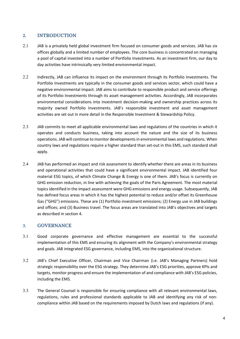#### **2. INTRODUCTION**

- 2.1 JAB is a privately held global investment firm focused on consumer goods and services. JAB has six offices globally and a limited number of employees. The core business is concentrated on managing a pool of capital invested into a number of Portfolio Investments. As an investment firm, our day to day activities have intrinsically very limited environmental impact.
- 2.2 Indirectly, JAB can influence its impact on the environment through its Portfolio Investments. The Portfolio Investments are typically in the consumer goods and services sector, which could have a negative environmental impact. JAB aims to contribute to responsible product and service offerings of its Portfolio Investments through its asset management activities. Accordingly, JAB incorporates environmental considerations into investment decision-making and ownership practices across its majority owned Portfolio Investments. JAB's responsible investment and asset management activities are set out in more detail in the Responsible Investment & Stewardship Policy.
- 2.3 JAB commits to meet all applicable environmental laws and regulations of the countries in which it operates and conducts business, taking into account the nature and the size of its business operations. JAB will continue to monitor developments in environmental laws and regulations. When country laws and regulations require a higher standard than set-out in this EMS, such standard shall apply.
- 2.4 JAB has performed an impact and risk assessment to identify whether there are areas in its business and operational activities that could have a significant environmental impact. JAB identified four material ESG topics, of which Climate Change & Energy is one of them. JAB's focus is currently on GHG emission reduction, in line with achieving the goals of the Paris Agreement. The most material topics identified in the impact assessment were GHG emissions and energy usage. Subsequently, JAB has defined focus areas in which it has the highest potential to reduce and/or offset its Greenhouse Gas ("GHG") emissions. These are (1) Portfolio investment emissions; (2) Energy use in JAB buildings and offices; and (3) Business travel. The focus areas are translated into JAB's objectives and targets as described in section 4.

#### **3. GOVERNANCE**

- 3.1 Good corporate governance and effective management are essential to the successful implementation of this EMS and ensuring its alignment with the Company's environmental strategy and goals. JAB integrated ESG governance, including EMS, into the organizational structure.
- 3.2 JAB's Chief Executive Officer, Chairman and Vice Chairman (i.e. JAB's Managing Partners) hold strategic responsibility over the ESG strategy. They determine JAB's ESG priorities, approve KPIs and targets, monitor progress and ensure the implementation of and compliance with JAB's ESG policies, including the EMS.
- 3.3 The General Counsel is responsible for ensuring compliance with all relevant environmental laws, regulations, rules and professional standards applicable to JAB and identifying any risk of noncompliance within JAB based on the requirements imposed by Dutch laws and regulations (if any).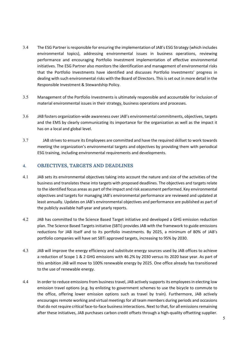- 3.4 The ESG Partner is responsible for ensuring the implementation of JAB's ESG Strategy (which includes environmental topics), addressing environmental issues in business operations, reviewing performance and encouraging Portfolio Investment implementation of effective environmental initiatives. The ESG Partner also monitors the identification and management of environmental risks that the Portfolio Investments have identified and discusses Portfolio Investments' progress in dealing with such environmental risks with the Board of Directors. This is set out in more detail in the Responsible Investment & Stewardship Policy.
- 3.5 Management of the Portfolio Investments is ultimately responsible and accountable for inclusion of material environmental issues in their strategy, business operations and processes.
- 3.6 JAB fosters organization-wide awareness over JAB's environmental commitments, objectives, targets and the EMS by clearly communicating its importance for the organization as well as the impact it has on a local and global level.
- 3.7 JAB strives to ensure its Employees are committed and have the required skillset to work towards meeting the organization's environmental targets and objectives by providing them with periodical ESG training, including environmental requirements and developments.

#### **4. OBJECTIVES, TARGETS AND DEADLINES**

- 4.1 JAB sets its environmental objectives taking into account the nature and size of the activities of the business and translates these into targets with proposed deadlines. The objectives and targets relate to the identified focus areas as part of the impact and risk assessment performed. Key environmental objectives and targets for managing JAB's environmental performance are reviewed and updated at least annually. Updates on JAB's environmental objectives and performance are published as part of the publicly available half-year and yearly reports.
- 4.2 JAB has committed to the Science Based Target initiative and developed a GHG emission reduction plan. The Science Based Targets initiative (SBTi) provides JAB with the framework to guide emissions reductions for JAB itself and to its portfolio investments. By 2025, a minimum of 80% of JAB's portfolio companies will have set SBTi approved targets, increasing to 95% by 2030.
- 4.3 JAB will improve the energy efficiency and substitute energy sources used by JAB offices to achieve a reduction of Scope 1 & 2 GHG emissions with 46.2% by 2030 versus its 2020 base year. As part of this ambition JAB will move to 100% renewable energy by 2025. One office already has transitioned to the use of renewable energy.
- 4.4 In order to reduce emissions from business travel, JAB actively supports its employees in electing low emission travel options (e.g. by enlisting to government schemes to use the bicycle to commute to the office, offering lower emission options such as travel by train). Furthermore, JAB actively encourages remote working and virtual meetings for all team members during periods and occasions that do not require critical face-to-face business interactions. Next to that, for all emissions remaining after these initiatives, JAB purchases carbon credit offsets through a high-quality offsetting supplier.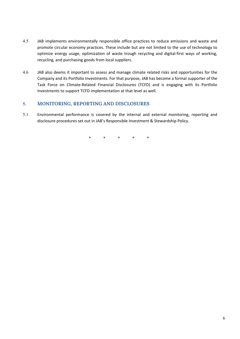- 4.5 JAB implements environmentally responsible office practices to reduce emissions and waste and promote circular economy practices. These include but are not limited to the use of technology to optimize energy usage, optimization of waste trough recycling and digital-first ways of working, recycling, and purchasing goods from local suppliers.
- 4.6 JAB also deems it important to assess and manage climate related risks and opportunities for the Company and its Portfolio Investments. For that purpose, JAB has become a formal supporter of the Task Force on Climate-Related Financial Disclosures (TCFD) and is engaging with its Portfolio Investments to support TCFD implementation at that level as well.

#### **5. MONITORING, REPORTING AND DISCLOSURES**

5.1 Environmental performance is covered by the internal and external monitoring, reporting and disclosure procedures set out in JAB's Responsible Investment & Stewardship Policy.

\* \* \* \* \*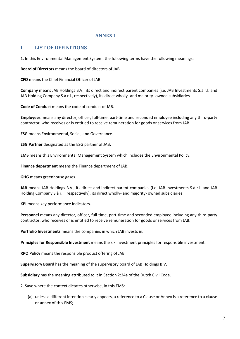#### **ANNEX 1**

#### <span id="page-6-0"></span>**I. LIST OF DEFINITIONS**

1. In this Environmental Management System, the following terms have the following meanings:

**Board of Directors** means the board of directors of JAB.

**CFO** means the Chief Financial Officer of JAB.

**Company** means JAB Holdings B.V., its direct and indirect parent companies (i.e. JAB Investments S.à r.l. and JAB Holding Company S.à r.l., respectively), its direct wholly- and majority- owned subsidiaries

**Code of Conduct** means the code of conduct of JAB.

**Employees** means any director, officer, full-time, part-time and seconded employee including any third-party contractor, who receives or is entitled to receive remuneration for goods or services from JAB.

**ESG** means Environmental, Social, and Governance.

**ESG Partner** designated as the ESG partner of JAB.

**EMS** means this Environmental Management System which includes the Environmental Policy.

**Finance department** means the Finance department of JAB.

**GHG** means greenhouse gases.

**JAB** means JAB Holdings B.V., its direct and indirect parent companies (i.e. JAB Investments S.à r.l. and JAB Holding Company S.à r.l., respectively), its direct wholly- and majority- owned subsidiaries

**KPI** means key performance indicators.

**Personnel** means any director, officer, full-time, part-time and seconded employee including any third-party contractor, who receives or is entitled to receive remuneration for goods or services from JAB.

**Portfolio Investments** means the companies in which JAB invests in.

**Principles for Responsible Investment** means the six investment principles for responsible investment.

**RPO Policy** means the responsible product offering of JAB.

**Supervisory Board** has the meaning of the supervisory board of JAB Holdings B.V.

**Subsidiary** has the meaning attributed to it in Section 2:24a of the Dutch Civil Code.

2. Save where the context dictates otherwise, in this EMS:

(a) unless a different intention clearly appears, a reference to a Clause or Annex is a reference to a clause or annex of this EMS;